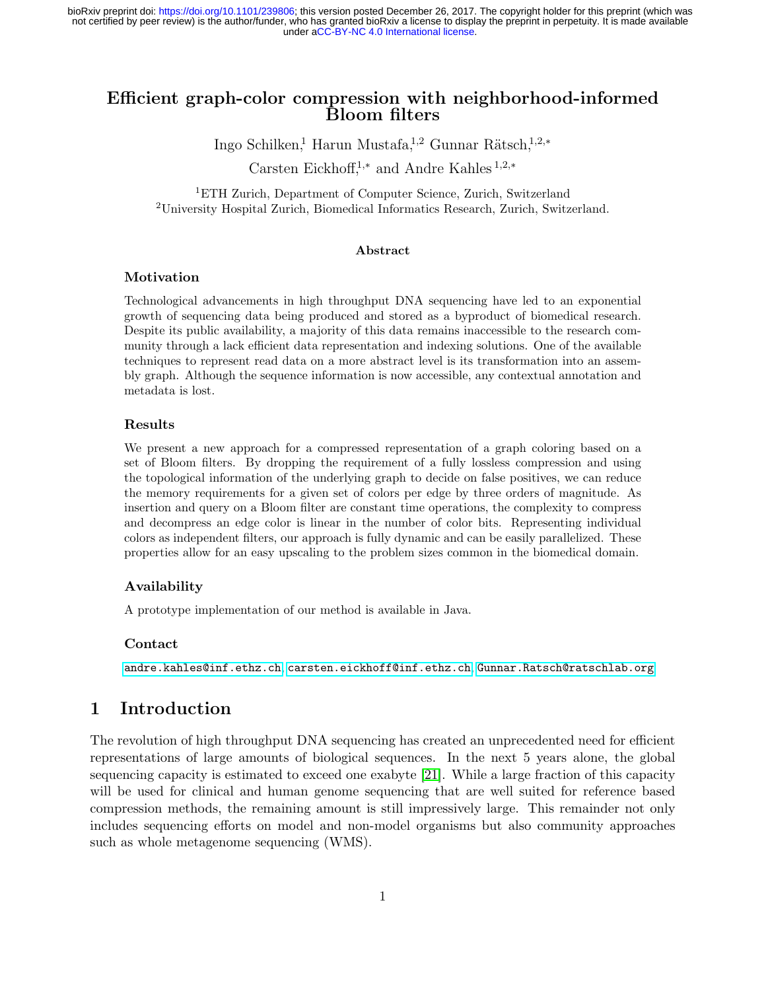# Efficient graph-color compression with neighborhood-informed Bloom filters

Ingo Schilken,<sup>1</sup> Harun Mustafa,<sup>1,2</sup> Gunnar Rätsch,<sup>1,2,∗</sup>

Carsten Eickhoff,<sup>1</sup>,<sup>∗</sup> and Andre Kahles <sup>1</sup>,2,<sup>∗</sup>

<sup>1</sup>ETH Zurich, Department of Computer Science, Zurich, Switzerland <sup>2</sup>University Hospital Zurich, Biomedical Informatics Research, Zurich, Switzerland.

#### Abstract

#### Motivation

Technological advancements in high throughput DNA sequencing have led to an exponential growth of sequencing data being produced and stored as a byproduct of biomedical research. Despite its public availability, a majority of this data remains inaccessible to the research community through a lack efficient data representation and indexing solutions. One of the available techniques to represent read data on a more abstract level is its transformation into an assembly graph. Although the sequence information is now accessible, any contextual annotation and metadata is lost.

### Results

We present a new approach for a compressed representation of a graph coloring based on a set of Bloom filters. By dropping the requirement of a fully lossless compression and using the topological information of the underlying graph to decide on false positives, we can reduce the memory requirements for a given set of colors per edge by three orders of magnitude. As insertion and query on a Bloom filter are constant time operations, the complexity to compress and decompress an edge color is linear in the number of color bits. Representing individual colors as independent filters, our approach is fully dynamic and can be easily parallelized. These properties allow for an easy upscaling to the problem sizes common in the biomedical domain.

### Availability

A prototype implementation of our method is available in Java.

#### Contact

[andre.kahles@inf.ethz.ch](mailto:andre.kahles@inf.ethz.ch), [carsten.eickhoff@inf.ethz.ch](mailto:carsten.eickhoff@inf.ethz.ch), [Gunnar.Ratsch@ratschlab.org](mailto:Gunnar.Ratsch@ratschlab.org)

# <span id="page-0-0"></span>1 Introduction

The revolution of high throughput DNA sequencing has created an unprecedented need for efficient representations of large amounts of biological sequences. In the next 5 years alone, the global sequencing capacity is estimated to exceed one exabyte [\[21\]](#page-10-0). While a large fraction of this capacity will be used for clinical and human genome sequencing that are well suited for reference based compression methods, the remaining amount is still impressively large. This remainder not only includes sequencing efforts on model and non-model organisms but also community approaches such as whole metagenome sequencing (WMS).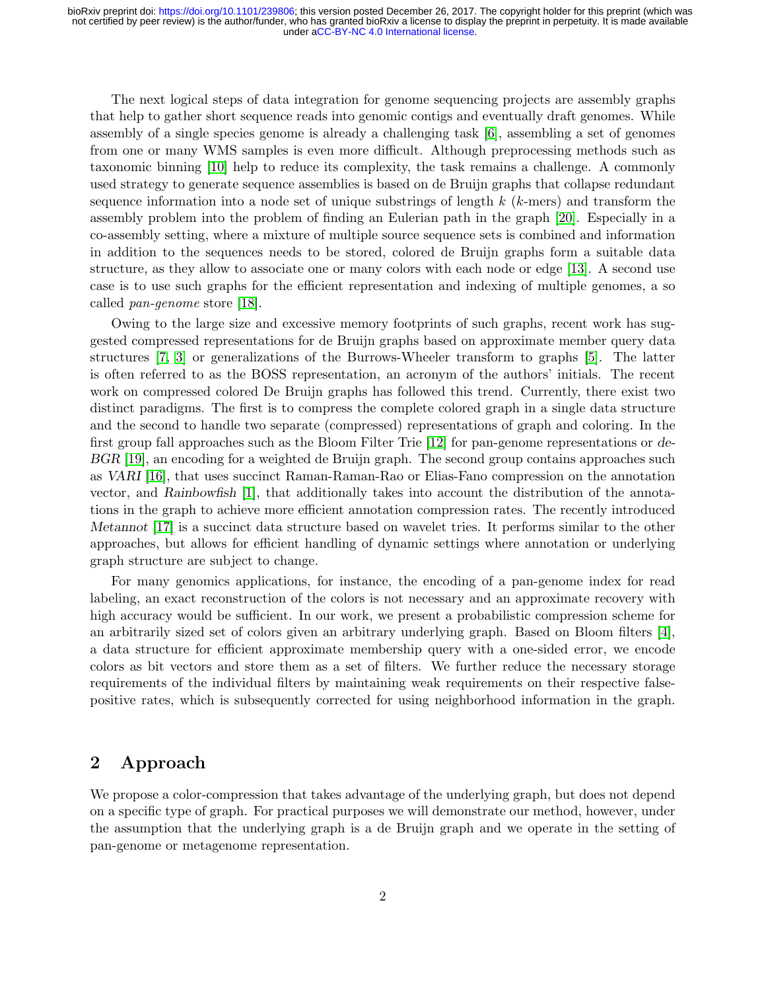The next logical steps of data integration for genome sequencing projects are assembly graphs that help to gather short sequence reads into genomic contigs and eventually draft genomes. While assembly of a single species genome is already a challenging task [\[6\]](#page-8-0), assembling a set of genomes from one or many WMS samples is even more difficult. Although preprocessing methods such as taxonomic binning [\[10\]](#page-9-0) help to reduce its complexity, the task remains a challenge. A commonly used strategy to generate sequence assemblies is based on de Bruijn graphs that collapse redundant sequence information into a node set of unique substrings of length  $k$  ( $k$ -mers) and transform the assembly problem into the problem of finding an Eulerian path in the graph [\[20\]](#page-9-1). Especially in a co-assembly setting, where a mixture of multiple source sequence sets is combined and information in addition to the sequences needs to be stored, colored de Bruijn graphs form a suitable data structure, as they allow to associate one or many colors with each node or edge [\[13\]](#page-9-2). A second use case is to use such graphs for the efficient representation and indexing of multiple genomes, a so called pan-genome store [\[18\]](#page-9-3).

Owing to the large size and excessive memory footprints of such graphs, recent work has suggested compressed representations for de Bruijn graphs based on approximate member query data structures [\[7,](#page-9-4) [3\]](#page-8-1) or generalizations of the Burrows-Wheeler transform to graphs [\[5\]](#page-8-2). The latter is often referred to as the BOSS representation, an acronym of the authors' initials. The recent work on compressed colored De Bruijn graphs has followed this trend. Currently, there exist two distinct paradigms. The first is to compress the complete colored graph in a single data structure and the second to handle two separate (compressed) representations of graph and coloring. In the first group fall approaches such as the Bloom Filter Trie [\[12\]](#page-9-5) for pan-genome representations or de-BGR [\[19\]](#page-9-6), an encoding for a weighted de Bruijn graph. The second group contains approaches such as VARI [\[16\]](#page-9-7), that uses succinct Raman-Raman-Rao or Elias-Fano compression on the annotation vector, and Rainbowfish [\[1\]](#page-8-3), that additionally takes into account the distribution of the annotations in the graph to achieve more efficient annotation compression rates. The recently introduced Metannot [\[17\]](#page-9-8) is a succinct data structure based on wavelet tries. It performs similar to the other approaches, but allows for efficient handling of dynamic settings where annotation or underlying graph structure are subject to change.

For many genomics applications, for instance, the encoding of a pan-genome index for read labeling, an exact reconstruction of the colors is not necessary and an approximate recovery with high accuracy would be sufficient. In our work, we present a probabilistic compression scheme for an arbitrarily sized set of colors given an arbitrary underlying graph. Based on Bloom filters [\[4\]](#page-8-4), a data structure for efficient approximate membership query with a one-sided error, we encode colors as bit vectors and store them as a set of filters. We further reduce the necessary storage requirements of the individual filters by maintaining weak requirements on their respective falsepositive rates, which is subsequently corrected for using neighborhood information in the graph.

# 2 Approach

We propose a color-compression that takes advantage of the underlying graph, but does not depend on a specific type of graph. For practical purposes we will demonstrate our method, however, under the assumption that the underlying graph is a de Bruijn graph and we operate in the setting of pan-genome or metagenome representation.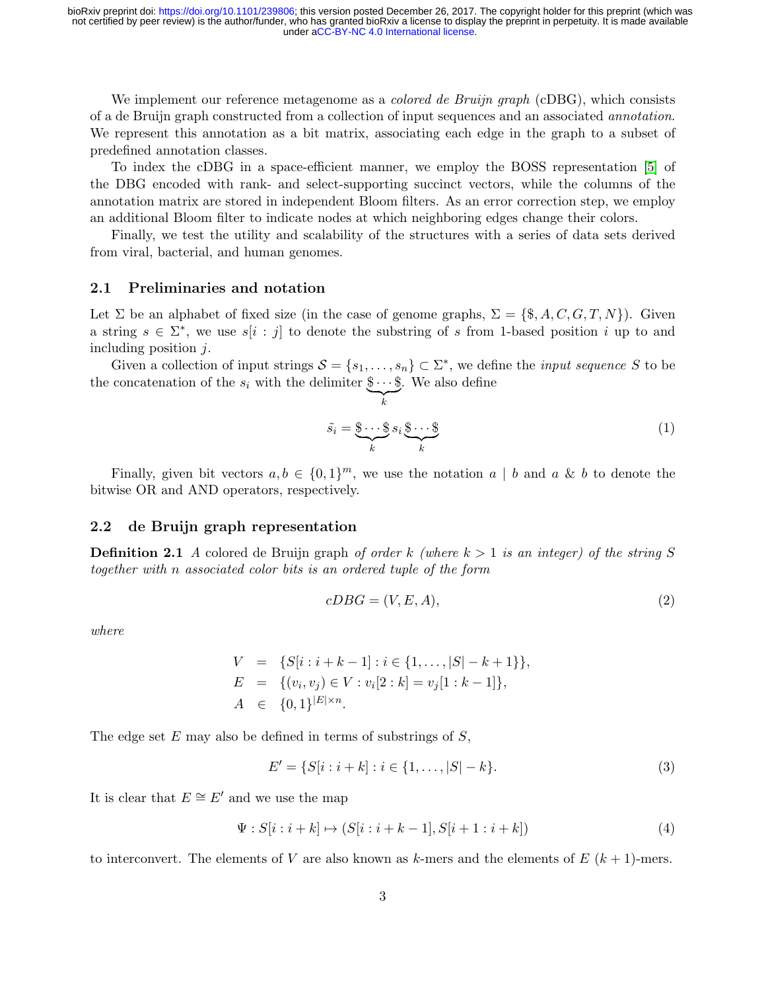We implement our reference metagenome as a *colored de Bruijn graph* (cDBG), which consists of a de Bruijn graph constructed from a collection of input sequences and an associated annotation. We represent this annotation as a bit matrix, associating each edge in the graph to a subset of predefined annotation classes.

To index the cDBG in a space-efficient manner, we employ the BOSS representation [\[5\]](#page-8-2) of the DBG encoded with rank- and select-supporting succinct vectors, while the columns of the annotation matrix are stored in independent Bloom filters. As an error correction step, we employ an additional Bloom filter to indicate nodes at which neighboring edges change their colors.

Finally, we test the utility and scalability of the structures with a series of data sets derived from viral, bacterial, and human genomes.

### 2.1 Preliminaries and notation

Let  $\Sigma$  be an alphabet of fixed size (in the case of genome graphs,  $\Sigma = \{\$, \$\$, A, C, G, T, N\}$ ). Given a string  $s \in \Sigma^*$ , we use  $s[i : j]$  to denote the substring of s from 1-based position i up to and including position  $j$ .

Given a collection of input strings  $S = \{s_1, \ldots, s_n\} \subset \Sigma^*$ , we define the *input sequence* S to be the concatenation of the  $s_i$  with the delimiter  $\$\cdots\$\$ . We also define

 $\sum_{k}$ 

$$
\tilde{s}_i = \underbrace{\$ \cdots \$}_{k} s_i \underbrace{\$ \cdots \$}_{k} \tag{1}
$$

Finally, given bit vectors  $a, b \in \{0, 1\}^m$ , we use the notation  $a \mid b$  and  $a \& b$  to denote the bitwise OR and AND operators, respectively.

### 2.2 de Bruijn graph representation

**Definition 2.1** A colored de Bruijn graph of order k (where  $k > 1$  is an integer) of the string S together with n associated color bits is an ordered tuple of the form

$$
cDBG = (V, E, A),\tag{2}
$$

where

$$
V = \{S[i : i + k - 1] : i \in \{1, ..., |S| - k + 1\}\},
$$
  
\n
$$
E = \{(v_i, v_j) \in V : v_i[2 : k] = v_j[1 : k - 1]\},
$$
  
\n
$$
A \in \{0, 1\}^{|E| \times n}.
$$

The edge set  $E$  may also be defined in terms of substrings of  $S$ ,

$$
E' = \{ S[i : i+k] : i \in \{1, \dots, |S|-k \}. \tag{3}
$$

It is clear that  $E \cong E'$  and we use the map

$$
\Psi : S[i:i+k] \mapsto (S[i:i+k-1], S[i+1:i+k]) \tag{4}
$$

to interconvert. The elements of V are also known as k-mers and the elements of  $E(k+1)$ -mers.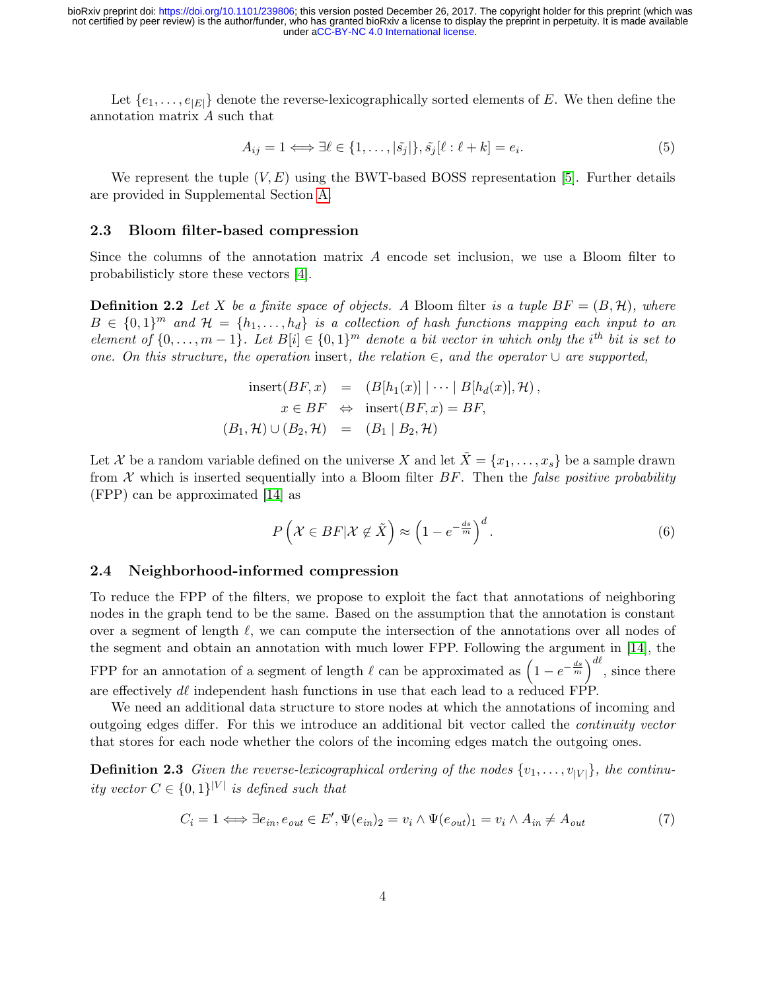Let  $\{e_1, \ldots, e_{|E|}\}$  denote the reverse-lexicographically sorted elements of E. We then define the annotation matrix A such that

$$
A_{ij} = 1 \Longleftrightarrow \exists \ell \in \{1, \dots, |\tilde{s}_j|\}, \tilde{s}_j[\ell : \ell + k] = e_i.
$$
\n
$$
(5)
$$

We represent the tuple  $(V, E)$  using the BWT-based BOSS representation [\[5\]](#page-8-2). Further details are provided in Supplemental Section [A.](#page-10-1)

#### 2.3 Bloom filter-based compression

Since the columns of the annotation matrix A encode set inclusion, we use a Bloom filter to probabilisticly store these vectors [\[4\]](#page-8-4).

**Definition 2.2** Let X be a finite space of objects. A Bloom filter is a tuple  $BF = (B, \mathcal{H})$ , where  $B \in \{0,1\}^m$  and  $\mathcal{H} = \{h_1, \ldots, h_d\}$  is a collection of hash functions mapping each input to an element of  $\{0,\ldots,m-1\}$ . Let  $B[i] \in \{0,1\}^m$  denote a bit vector in which only the i<sup>th</sup> bit is set to one. On this structure, the operation insert, the relation  $\in$ , and the operator  $\cup$  are supported,

insert
$$
(BF, x)
$$
 =  $(B[h_1(x)] \mid \cdots \mid B[h_d(x)], \mathcal{H}),$   
\n $x \in BF \Leftrightarrow \text{insert}(BF, x) = BF,$   
\n $(B_1, \mathcal{H}) \cup (B_2, \mathcal{H}) = (B_1 \mid B_2, \mathcal{H})$ 

Let X be a random variable defined on the universe X and let  $\tilde{X} = \{x_1, \ldots, x_s\}$  be a sample drawn from  $X$  which is inserted sequentially into a Bloom filter  $BF$ . Then the false positive probability (FPP) can be approximated [\[14\]](#page-9-9) as

$$
P\left(\mathcal{X} \in BF|\mathcal{X} \notin \tilde{X}\right) \approx \left(1 - e^{-\frac{ds}{m}}\right)^d.
$$
\n<sup>(6)</sup>

## 2.4 Neighborhood-informed compression

To reduce the FPP of the filters, we propose to exploit the fact that annotations of neighboring nodes in the graph tend to be the same. Based on the assumption that the annotation is constant over a segment of length  $\ell$ , we can compute the intersection of the annotations over all nodes of the segment and obtain an annotation with much lower FPP. Following the argument in [\[14\]](#page-9-9), the FPP for an annotation of a segment of length  $\ell$  can be approximated as  $\left(1 - e^{-\frac{ds}{m}}\right)^{d\ell}$ , since there

are effectively  $d\ell$  independent hash functions in use that each lead to a reduced FPP.

We need an additional data structure to store nodes at which the annotations of incoming and outgoing edges differ. For this we introduce an additional bit vector called the continuity vector that stores for each node whether the colors of the incoming edges match the outgoing ones.

**Definition 2.3** Given the reverse-lexicographical ordering of the nodes  $\{v_1, \ldots, v_{|V|}\}\$ , the continuity vector  $C \in \{0,1\}^{|V|}$  is defined such that

$$
C_i = 1 \iff \exists e_{in}, e_{out} \in E', \Psi(e_{in})_2 = v_i \land \Psi(e_{out})_1 = v_i \land A_{in} \neq A_{out}
$$
\n
$$
(7)
$$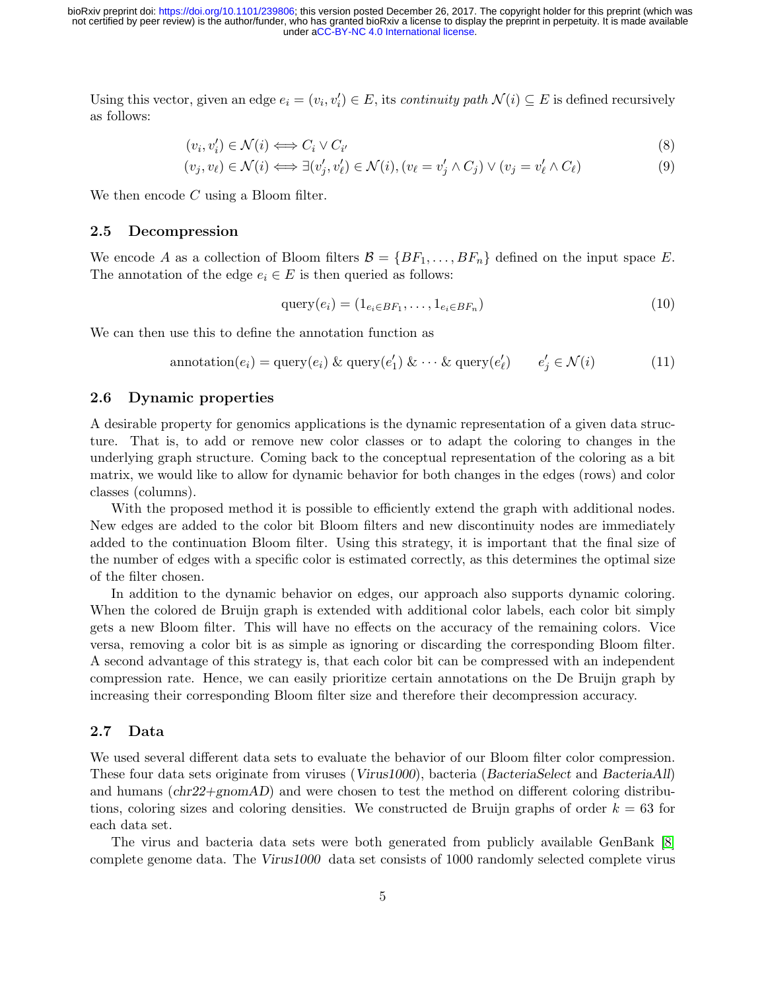Using this vector, given an edge  $e_i = (v_i, v'_i) \in E$ , its *continuity path*  $\mathcal{N}(i) \subseteq E$  is defined recursively as follows:

$$
(v_i, v'_i) \in \mathcal{N}(i) \iff C_i \lor C_{i'}
$$
\n
$$
(8)
$$

$$
(v_j, v_\ell) \in \mathcal{N}(i) \iff \exists (v'_j, v'_\ell) \in \mathcal{N}(i), (v_\ell = v'_j \land C_j) \lor (v_j = v'_\ell \land C_\ell)
$$
\n
$$
(9)
$$

We then encode C using a Bloom filter.

### 2.5 Decompression

We encode A as a collection of Bloom filters  $\mathcal{B} = \{BF_1, \ldots, BF_n\}$  defined on the input space E. The annotation of the edge  $e_i \in E$  is then queried as follows:

$$
\text{query}(e_i) = (1_{e_i \in BF_1}, \dots, 1_{e_i \in BF_n}) \tag{10}
$$

We can then use this to define the annotation function as

$$
annotation(e_i) = query(e_i) & query(e'_1) & \cdots & query(e'_\ell) \qquad e'_j \in \mathcal{N}(i) \tag{11}
$$

## 2.6 Dynamic properties

A desirable property for genomics applications is the dynamic representation of a given data structure. That is, to add or remove new color classes or to adapt the coloring to changes in the underlying graph structure. Coming back to the conceptual representation of the coloring as a bit matrix, we would like to allow for dynamic behavior for both changes in the edges (rows) and color classes (columns).

With the proposed method it is possible to efficiently extend the graph with additional nodes. New edges are added to the color bit Bloom filters and new discontinuity nodes are immediately added to the continuation Bloom filter. Using this strategy, it is important that the final size of the number of edges with a specific color is estimated correctly, as this determines the optimal size of the filter chosen.

In addition to the dynamic behavior on edges, our approach also supports dynamic coloring. When the colored de Bruijn graph is extended with additional color labels, each color bit simply gets a new Bloom filter. This will have no effects on the accuracy of the remaining colors. Vice versa, removing a color bit is as simple as ignoring or discarding the corresponding Bloom filter. A second advantage of this strategy is, that each color bit can be compressed with an independent compression rate. Hence, we can easily prioritize certain annotations on the De Bruijn graph by increasing their corresponding Bloom filter size and therefore their decompression accuracy.

### 2.7 Data

We used several different data sets to evaluate the behavior of our Bloom filter color compression. These four data sets originate from viruses (Virus1000), bacteria (BacteriaSelect and BacteriaAll) and humans  $chr22+gnomAD)$  and were chosen to test the method on different coloring distributions, coloring sizes and coloring densities. We constructed de Bruijn graphs of order  $k = 63$  for each data set.

The virus and bacteria data sets were both generated from publicly available GenBank [\[8\]](#page-9-10) complete genome data. The Virus1000 data set consists of 1000 randomly selected complete virus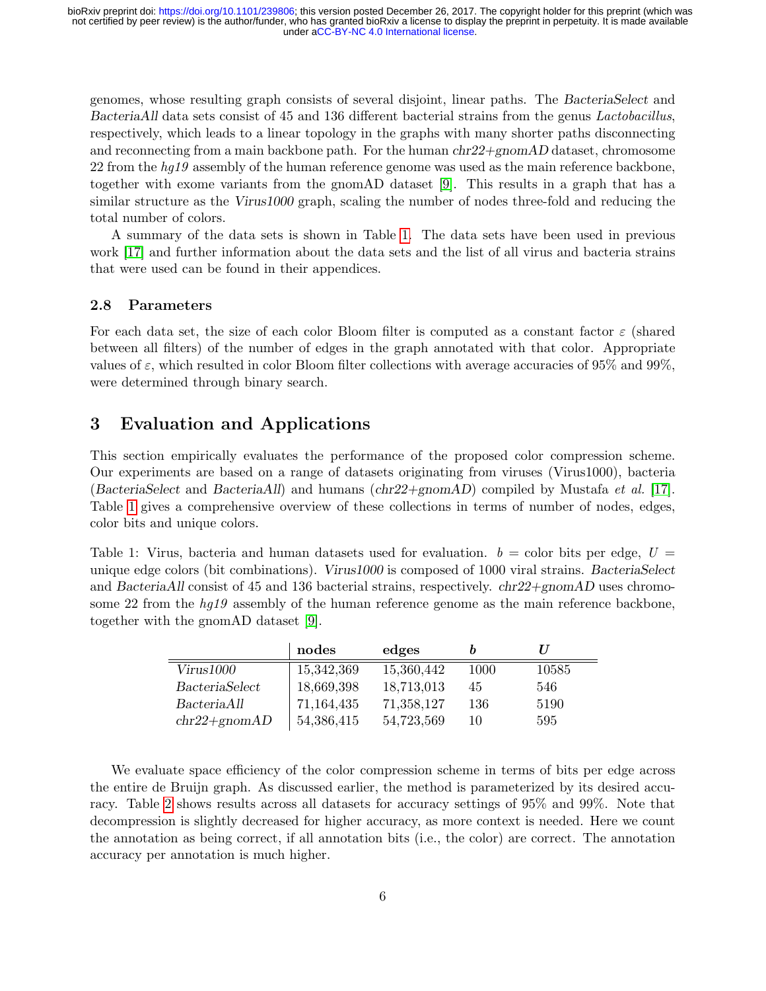genomes, whose resulting graph consists of several disjoint, linear paths. The BacteriaSelect and BacteriaAll data sets consist of 45 and 136 different bacterial strains from the genus Lactobacillus, respectively, which leads to a linear topology in the graphs with many shorter paths disconnecting and reconnecting from a main backbone path. For the human  $chr22+gnomAD$  dataset, chromosome 22 from the  $hq19$  assembly of the human reference genome was used as the main reference backbone, together with exome variants from the gnomAD dataset [\[9\]](#page-9-11). This results in a graph that has a similar structure as the Virus1000 graph, scaling the number of nodes three-fold and reducing the total number of colors.

A summary of the data sets is shown in Table [1.](#page-5-0) The data sets have been used in previous work [\[17\]](#page-9-8) and further information about the data sets and the list of all virus and bacteria strains that were used can be found in their appendices.

## 2.8 Parameters

For each data set, the size of each color Bloom filter is computed as a constant factor  $\varepsilon$  (shared between all filters) of the number of edges in the graph annotated with that color. Appropriate values of  $\varepsilon$ , which resulted in color Bloom filter collections with average accuracies of 95% and 99%, were determined through binary search.

# 3 Evaluation and Applications

This section empirically evaluates the performance of the proposed color compression scheme. Our experiments are based on a range of datasets originating from viruses (Virus1000), bacteria (BacteriaSelect and BacteriaAll) and humans ( $chr22+gnomAD$ ) compiled by Mustafa et al. [\[17\]](#page-9-8). Table [1](#page-5-0) gives a comprehensive overview of these collections in terms of number of nodes, edges, color bits and unique colors.

<span id="page-5-0"></span>Table 1: Virus, bacteria and human datasets used for evaluation.  $b =$  color bits per edge,  $U =$ unique edge colors (bit combinations). Virus1000 is composed of 1000 viral strains. BacteriaSelect and BacteriaAll consist of 45 and 136 bacterial strains, respectively. chr22+gnomAD uses chromosome 22 from the hg19 assembly of the human reference genome as the main reference backbone, together with the gnomAD dataset [\[9\]](#page-9-11).

|                  | nodes      | edges      |      |       |
|------------------|------------|------------|------|-------|
| Virus1000        | 15,342,369 | 15,360,442 | 1000 | 10585 |
| BacteriaSelect   | 18,669,398 | 18,713,013 | 45   | 546   |
| BacteriaAll      | 71,164,435 | 71,358,127 | 136  | 5190  |
| $chr22 + gnomAD$ | 54,386,415 | 54,723,569 | 10   | 595   |

We evaluate space efficiency of the color compression scheme in terms of bits per edge across the entire de Bruijn graph. As discussed earlier, the method is parameterized by its desired accuracy. Table [2](#page-6-0) shows results across all datasets for accuracy settings of 95% and 99%. Note that decompression is slightly decreased for higher accuracy, as more context is needed. Here we count the annotation as being correct, if all annotation bits (i.e., the color) are correct. The annotation accuracy per annotation is much higher.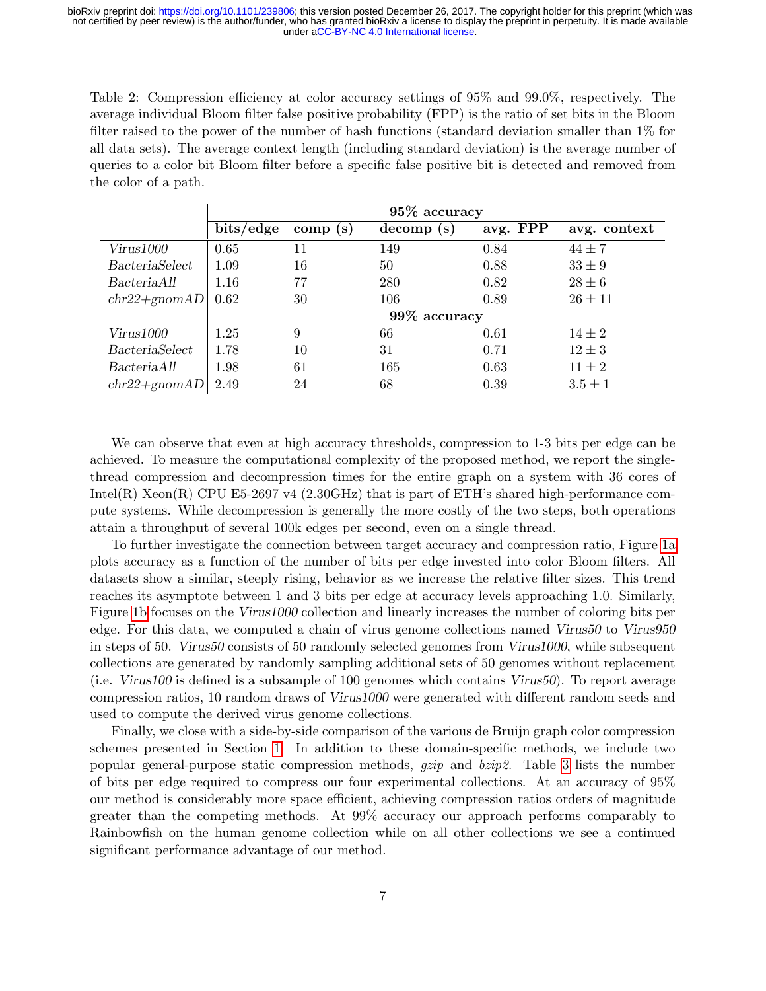<span id="page-6-0"></span>Table 2: Compression efficiency at color accuracy settings of 95% and 99.0%, respectively. The average individual Bloom filter false positive probability (FPP) is the ratio of set bits in the Bloom filter raised to the power of the number of hash functions (standard deviation smaller than 1% for all data sets). The average context length (including standard deviation) is the average number of queries to a color bit Bloom filter before a specific false positive bit is detected and removed from the color of a path.

|                  | $95\%$ accuracy |         |               |          |              |  |
|------------------|-----------------|---------|---------------|----------|--------------|--|
|                  | bits/edge       | comp(s) | decomp<br>(s) | avg. FPP | avg. context |  |
| Virus1000        | 0.65            | 11      | 149           | 0.84     | $44 \pm 7$   |  |
| BacteriaSelect   | 1.09            | 16      | 50            | 0.88     | $33 \pm 9$   |  |
| BacteriaAll      | 1.16            | 77      | 280           | 0.82     | $28 \pm 6$   |  |
| $chr22 + gnomAD$ | 0.62            | 30      | 106           | 0.89     | $26 \pm 11$  |  |
|                  | 99% accuracy    |         |               |          |              |  |
| Virus1000        | 1.25            | 9       | 66            | 0.61     | $14 \pm 2$   |  |
| BacteriaSelect   | 1.78            | 10      | 31            | 0.71     | $12 \pm 3$   |  |
| BacteriaAll      | 1.98            | 61      | 165           | 0.63     | $11 \pm 2$   |  |
| $chr22 + gnomAD$ | 2.49            | 24      | 68            | 0.39     | $3.5 \pm 1$  |  |

We can observe that even at high accuracy thresholds, compression to 1-3 bits per edge can be achieved. To measure the computational complexity of the proposed method, we report the singlethread compression and decompression times for the entire graph on a system with 36 cores of Intel(R) Xeon(R) CPU E5-2697 v4 (2.30GHz) that is part of ETH's shared high-performance compute systems. While decompression is generally the more costly of the two steps, both operations attain a throughput of several 100k edges per second, even on a single thread.

To further investigate the connection between target accuracy and compression ratio, Figure [1a](#page-7-0) plots accuracy as a function of the number of bits per edge invested into color Bloom filters. All datasets show a similar, steeply rising, behavior as we increase the relative filter sizes. This trend reaches its asymptote between 1 and 3 bits per edge at accuracy levels approaching 1.0. Similarly, Figure [1b](#page-7-0) focuses on the Virus1000 collection and linearly increases the number of coloring bits per edge. For this data, we computed a chain of virus genome collections named Virus50 to Virus950 in steps of 50. Virus50 consists of 50 randomly selected genomes from Virus1000, while subsequent collections are generated by randomly sampling additional sets of 50 genomes without replacement (i.e. Virus100 is defined is a subsample of 100 genomes which contains Virus50). To report average compression ratios, 10 random draws of Virus1000 were generated with different random seeds and used to compute the derived virus genome collections.

Finally, we close with a side-by-side comparison of the various de Bruijn graph color compression schemes presented in Section [1.](#page-0-0) In addition to these domain-specific methods, we include two popular general-purpose static compression methods, gzip and bzip2. Table [3](#page-7-1) lists the number of bits per edge required to compress our four experimental collections. At an accuracy of 95% our method is considerably more space efficient, achieving compression ratios orders of magnitude greater than the competing methods. At 99% accuracy our approach performs comparably to Rainbowfish on the human genome collection while on all other collections we see a continued significant performance advantage of our method.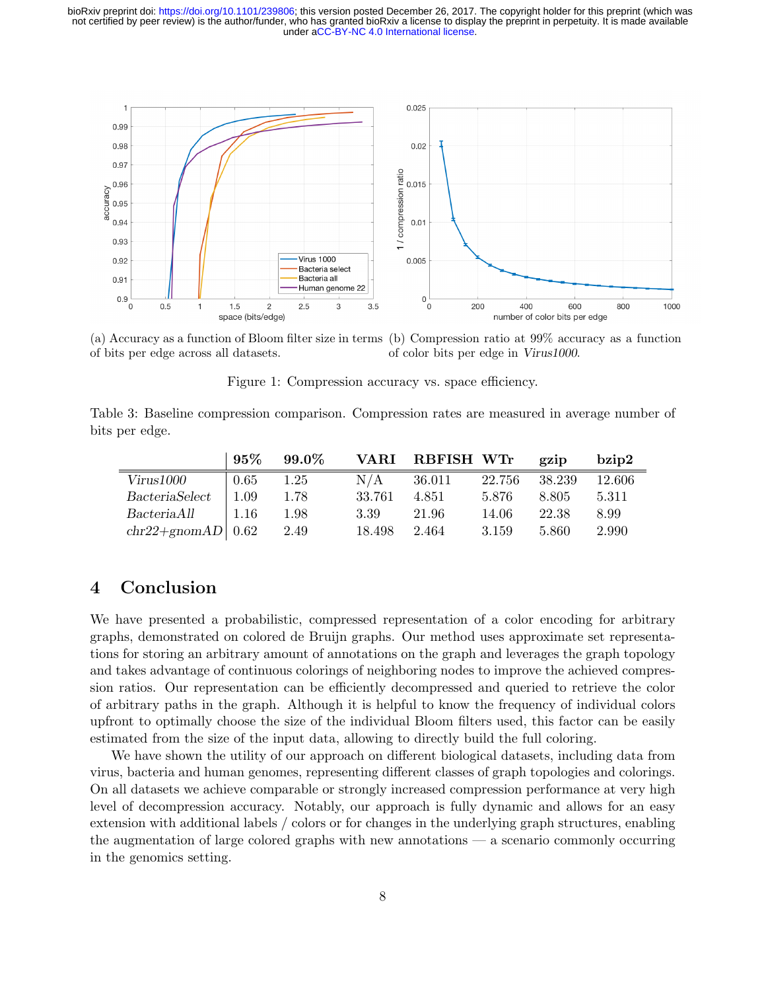<span id="page-7-0"></span>

(a) Accuracy as a function of Bloom filter size in terms (b) Compression ratio at 99% accuracy as a function of bits per edge across all datasets. of color bits per edge in Virus1000.

Figure 1: Compression accuracy vs. space efficiency.

<span id="page-7-1"></span>Table 3: Baseline compression comparison. Compression rates are measured in average number of bits per edge.

|                       | 95%  | $99.0\%$ |        | VARI RBFISH WTr |        | gzip   | bzi <sub>D</sub> 2 |
|-----------------------|------|----------|--------|-----------------|--------|--------|--------------------|
| Virus1000             | 0.65 | $1.25\,$ | N/A    | 36.011          | 22.756 | 38.239 | 12.606             |
| <i>BacteriaSelect</i> | 1.09 | 1.78     | 33.761 | 4.851           | 5.876  | 8.805  | 5.311              |
| BacteriaAll           | 1.16 | 1.98     | 3.39   | 21.96           | 14.06  | 22.38  | 8.99               |
| $chr22+gnomAD$ 0.62   |      | 2.49     | 18.498 | 2.464           | 3.159  | 5.860  | 2.990              |

# 4 Conclusion

We have presented a probabilistic, compressed representation of a color encoding for arbitrary graphs, demonstrated on colored de Bruijn graphs. Our method uses approximate set representations for storing an arbitrary amount of annotations on the graph and leverages the graph topology and takes advantage of continuous colorings of neighboring nodes to improve the achieved compression ratios. Our representation can be efficiently decompressed and queried to retrieve the color of arbitrary paths in the graph. Although it is helpful to know the frequency of individual colors upfront to optimally choose the size of the individual Bloom filters used, this factor can be easily estimated from the size of the input data, allowing to directly build the full coloring.

We have shown the utility of our approach on different biological datasets, including data from virus, bacteria and human genomes, representing different classes of graph topologies and colorings. On all datasets we achieve comparable or strongly increased compression performance at very high level of decompression accuracy. Notably, our approach is fully dynamic and allows for an easy extension with additional labels / colors or for changes in the underlying graph structures, enabling the augmentation of large colored graphs with new annotations — a scenario commonly occurring in the genomics setting.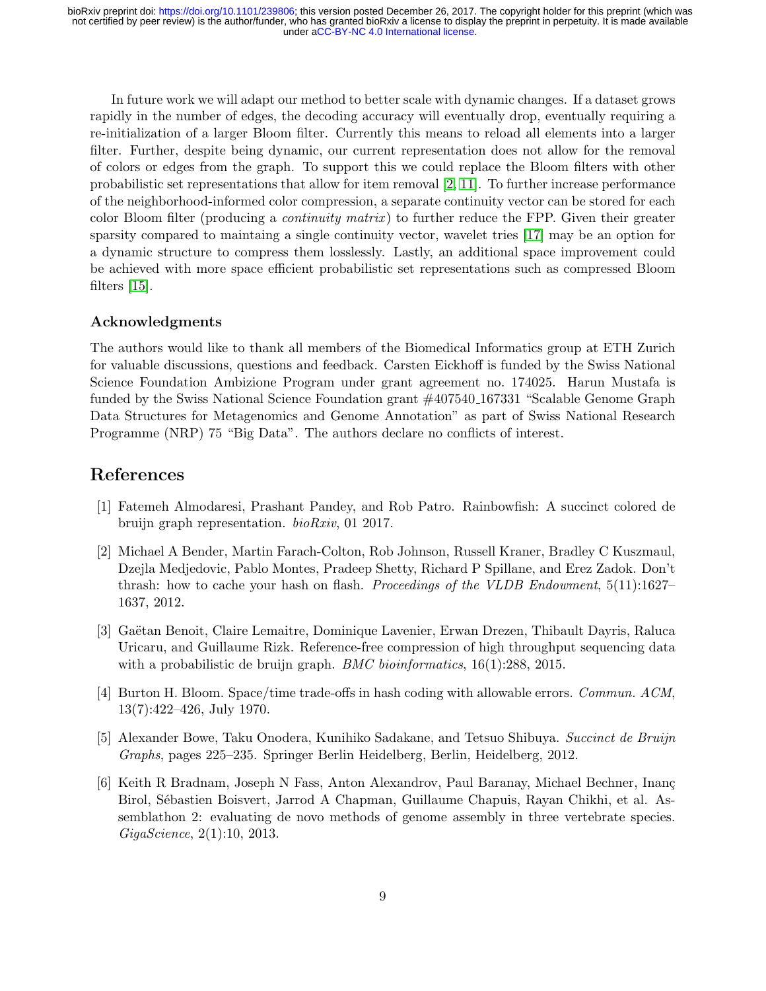In future work we will adapt our method to better scale with dynamic changes. If a dataset grows rapidly in the number of edges, the decoding accuracy will eventually drop, eventually requiring a re-initialization of a larger Bloom filter. Currently this means to reload all elements into a larger filter. Further, despite being dynamic, our current representation does not allow for the removal of colors or edges from the graph. To support this we could replace the Bloom filters with other probabilistic set representations that allow for item removal [\[2,](#page-8-5) [11\]](#page-9-12). To further increase performance of the neighborhood-informed color compression, a separate continuity vector can be stored for each color Bloom filter (producing a *continuity matrix*) to further reduce the FPP. Given their greater sparsity compared to maintaing a single continuity vector, wavelet tries [\[17\]](#page-9-8) may be an option for a dynamic structure to compress them losslessly. Lastly, an additional space improvement could be achieved with more space efficient probabilistic set representations such as compressed Bloom filters [\[15\]](#page-9-13).

## Acknowledgments

The authors would like to thank all members of the Biomedical Informatics group at ETH Zurich for valuable discussions, questions and feedback. Carsten Eickhoff is funded by the Swiss National Science Foundation Ambizione Program under grant agreement no. 174025. Harun Mustafa is funded by the Swiss National Science Foundation grant  $\#407540_167331$  "Scalable Genome Graph Data Structures for Metagenomics and Genome Annotation" as part of Swiss National Research Programme (NRP) 75 "Big Data". The authors declare no conflicts of interest.

# References

- <span id="page-8-3"></span>[1] Fatemeh Almodaresi, Prashant Pandey, and Rob Patro. Rainbowfish: A succinct colored de bruijn graph representation. bioRxiv, 01 2017.
- <span id="page-8-5"></span>[2] Michael A Bender, Martin Farach-Colton, Rob Johnson, Russell Kraner, Bradley C Kuszmaul, Dzejla Medjedovic, Pablo Montes, Pradeep Shetty, Richard P Spillane, and Erez Zadok. Don't thrash: how to cache your hash on flash. *Proceedings of the VLDB Endowment*, 5(11):1627– 1637, 2012.
- <span id="page-8-1"></span>[3] Gaëtan Benoit, Claire Lemaitre, Dominique Lavenier, Erwan Drezen, Thibault Dayris, Raluca Uricaru, and Guillaume Rizk. Reference-free compression of high throughput sequencing data with a probabilistic de bruijn graph. *BMC bioinformatics*, 16(1):288, 2015.
- <span id="page-8-4"></span>[4] Burton H. Bloom. Space/time trade-offs in hash coding with allowable errors. Commun. ACM, 13(7):422–426, July 1970.
- <span id="page-8-2"></span>[5] Alexander Bowe, Taku Onodera, Kunihiko Sadakane, and Tetsuo Shibuya. Succinct de Bruijn Graphs, pages 225–235. Springer Berlin Heidelberg, Berlin, Heidelberg, 2012.
- <span id="page-8-0"></span>[6] Keith R Bradnam, Joseph N Fass, Anton Alexandrov, Paul Baranay, Michael Bechner, Inanç Birol, Sébastien Boisvert, Jarrod A Chapman, Guillaume Chapuis, Rayan Chikhi, et al. Assemblathon 2: evaluating de novo methods of genome assembly in three vertebrate species. GigaScience, 2(1):10, 2013.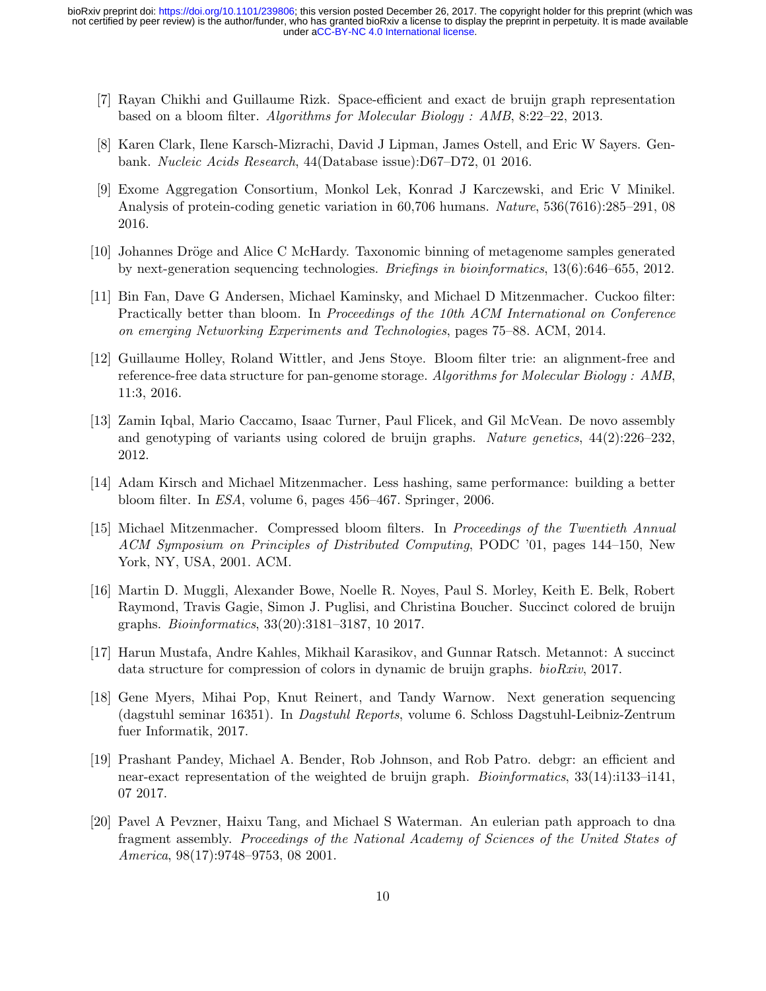- <span id="page-9-4"></span>[7] Rayan Chikhi and Guillaume Rizk. Space-efficient and exact de bruijn graph representation based on a bloom filter. Algorithms for Molecular Biology : AMB, 8:22–22, 2013.
- <span id="page-9-10"></span>[8] Karen Clark, Ilene Karsch-Mizrachi, David J Lipman, James Ostell, and Eric W Sayers. Genbank. Nucleic Acids Research, 44(Database issue):D67–D72, 01 2016.
- <span id="page-9-11"></span>[9] Exome Aggregation Consortium, Monkol Lek, Konrad J Karczewski, and Eric V Minikel. Analysis of protein-coding genetic variation in 60,706 humans. Nature, 536(7616):285–291, 08 2016.
- <span id="page-9-0"></span>[10] Johannes Dröge and Alice C McHardy. Taxonomic binning of metagenome samples generated by next-generation sequencing technologies. Briefings in bioinformatics, 13(6):646–655, 2012.
- <span id="page-9-12"></span>[11] Bin Fan, Dave G Andersen, Michael Kaminsky, and Michael D Mitzenmacher. Cuckoo filter: Practically better than bloom. In Proceedings of the 10th ACM International on Conference on emerging Networking Experiments and Technologies, pages 75–88. ACM, 2014.
- <span id="page-9-5"></span>[12] Guillaume Holley, Roland Wittler, and Jens Stoye. Bloom filter trie: an alignment-free and reference-free data structure for pan-genome storage. Algorithms for Molecular Biology : AMB, 11:3, 2016.
- <span id="page-9-2"></span>[13] Zamin Iqbal, Mario Caccamo, Isaac Turner, Paul Flicek, and Gil McVean. De novo assembly and genotyping of variants using colored de bruijn graphs. Nature genetics,  $44(2):226-232$ , 2012.
- <span id="page-9-9"></span>[14] Adam Kirsch and Michael Mitzenmacher. Less hashing, same performance: building a better bloom filter. In ESA, volume 6, pages 456–467. Springer, 2006.
- <span id="page-9-13"></span>[15] Michael Mitzenmacher. Compressed bloom filters. In Proceedings of the Twentieth Annual ACM Symposium on Principles of Distributed Computing, PODC '01, pages 144–150, New York, NY, USA, 2001. ACM.
- <span id="page-9-7"></span>[16] Martin D. Muggli, Alexander Bowe, Noelle R. Noyes, Paul S. Morley, Keith E. Belk, Robert Raymond, Travis Gagie, Simon J. Puglisi, and Christina Boucher. Succinct colored de bruijn graphs. Bioinformatics, 33(20):3181–3187, 10 2017.
- <span id="page-9-8"></span>[17] Harun Mustafa, Andre Kahles, Mikhail Karasikov, and Gunnar Ratsch. Metannot: A succinct data structure for compression of colors in dynamic de bruijn graphs. bioRxiv, 2017.
- <span id="page-9-3"></span>[18] Gene Myers, Mihai Pop, Knut Reinert, and Tandy Warnow. Next generation sequencing (dagstuhl seminar 16351). In Dagstuhl Reports, volume 6. Schloss Dagstuhl-Leibniz-Zentrum fuer Informatik, 2017.
- <span id="page-9-6"></span>[19] Prashant Pandey, Michael A. Bender, Rob Johnson, and Rob Patro. debgr: an efficient and near-exact representation of the weighted de bruijn graph. *Bioinformatics*, 33(14):i133–i141, 07 2017.
- <span id="page-9-1"></span>[20] Pavel A Pevzner, Haixu Tang, and Michael S Waterman. An eulerian path approach to dna fragment assembly. Proceedings of the National Academy of Sciences of the United States of America, 98(17):9748–9753, 08 2001.